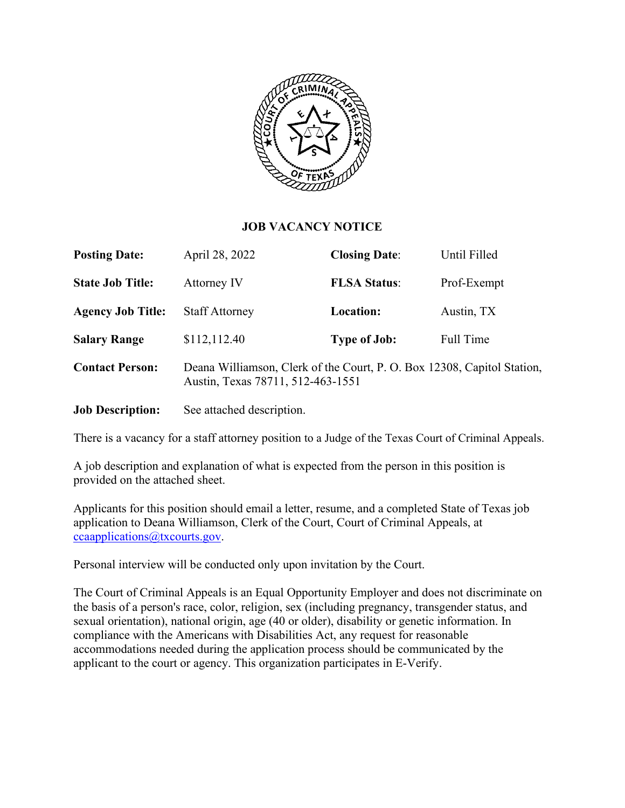

#### **JOB VACANCY NOTICE**

| <b>Posting Date:</b>     | April 28, 2022                                                                                               | <b>Closing Date:</b> | Until Filled |
|--------------------------|--------------------------------------------------------------------------------------------------------------|----------------------|--------------|
| <b>State Job Title:</b>  | Attorney IV                                                                                                  | <b>FLSA Status:</b>  | Prof-Exempt  |
| <b>Agency Job Title:</b> | <b>Staff Attorney</b>                                                                                        | Location:            | Austin, TX   |
| <b>Salary Range</b>      | \$112,112.40                                                                                                 | <b>Type of Job:</b>  | Full Time    |
| <b>Contact Person:</b>   | Deana Williamson, Clerk of the Court, P. O. Box 12308, Capitol Station,<br>Austin, Texas 78711, 512-463-1551 |                      |              |
|                          |                                                                                                              |                      |              |

**Job Description:** See attached description.

There is a vacancy for a staff attorney position to a Judge of the Texas Court of Criminal Appeals.

A job description and explanation of what is expected from the person in this position is provided on the attached sheet.

Applicants for this position should email a letter, resume, and a completed State of Texas job application to Deana Williamson, Clerk of the Court, Court of Criminal Appeals, at [ccaapplications@txcourts.gov.](mailto:ccaapplications@txcourts.gov)

Personal interview will be conducted only upon invitation by the Court.

The Court of Criminal Appeals is an Equal Opportunity Employer and does not discriminate on the basis of a person's race, color, religion, sex (including pregnancy, transgender status, and sexual orientation), national origin, age (40 or older), disability or genetic information. In compliance with the Americans with Disabilities Act, any request for reasonable accommodations needed during the application process should be communicated by the applicant to the court or agency. This organization participates in E-Verify.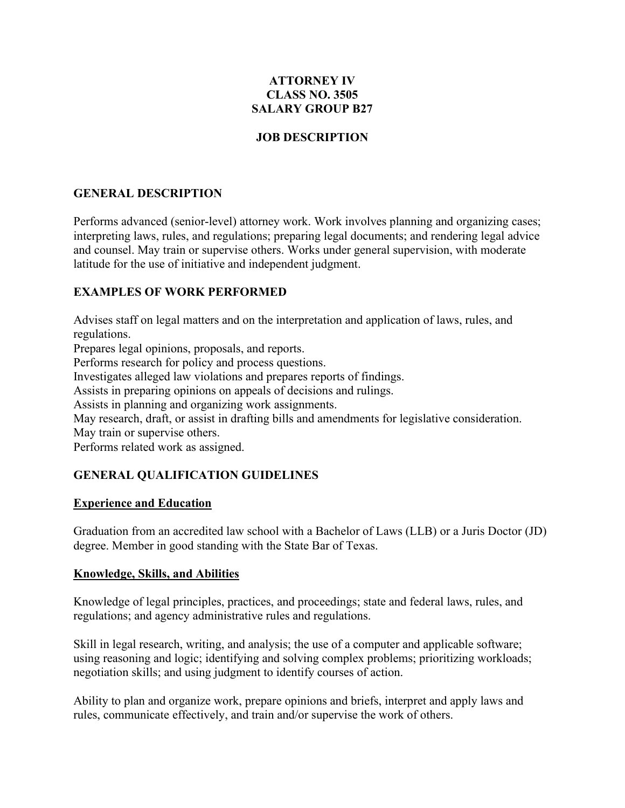### **ATTORNEY IV CLASS NO. 3505 SALARY GROUP B27**

### **JOB DESCRIPTION**

## **GENERAL DESCRIPTION**

Performs advanced (senior-level) attorney work. Work involves planning and organizing cases; interpreting laws, rules, and regulations; preparing legal documents; and rendering legal advice and counsel. May train or supervise others. Works under general supervision, with moderate latitude for the use of initiative and independent judgment.

### **EXAMPLES OF WORK PERFORMED**

Advises staff on legal matters and on the interpretation and application of laws, rules, and regulations.

Prepares legal opinions, proposals, and reports.

Performs research for policy and process questions.

Investigates alleged law violations and prepares reports of findings.

Assists in preparing opinions on appeals of decisions and rulings.

Assists in planning and organizing work assignments.

May research, draft, or assist in drafting bills and amendments for legislative consideration. May train or supervise others.

Performs related work as assigned.

# **GENERAL QUALIFICATION GUIDELINES**

### **Experience and Education**

Graduation from an accredited law school with a Bachelor of Laws (LLB) or a Juris Doctor (JD) degree. Member in good standing with the State Bar of Texas.

#### **Knowledge, Skills, and Abilities**

Knowledge of legal principles, practices, and proceedings; state and federal laws, rules, and regulations; and agency administrative rules and regulations.

Skill in legal research, writing, and analysis; the use of a computer and applicable software; using reasoning and logic; identifying and solving complex problems; prioritizing workloads; negotiation skills; and using judgment to identify courses of action.

Ability to plan and organize work, prepare opinions and briefs, interpret and apply laws and rules, communicate effectively, and train and/or supervise the work of others.